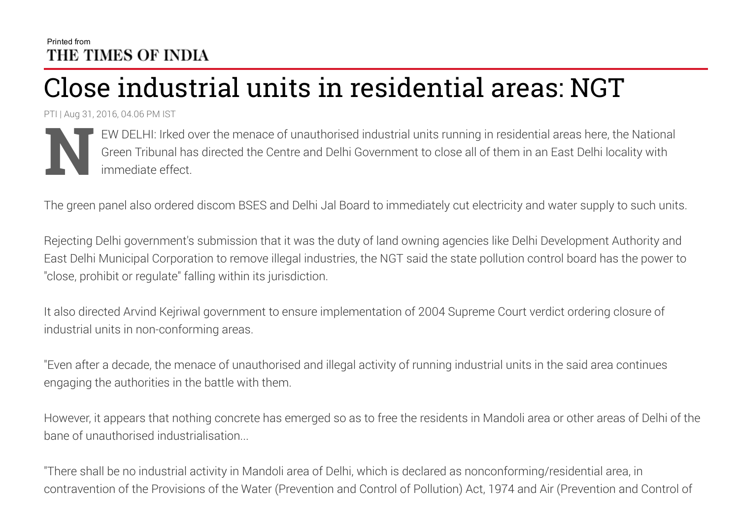## Printed from THE TIMES OF INDIA

## Close industrial units in residential areas: NGT

PTI | Aug 31, 2016, 04.06 PM IST



EW DELHI: Irked over the menace of unauthorised industrial units running in residential areas here, the National Green Tribunal has directed the Centre and Delhi Government to close all of them in an East Delhi locality with immediate effect.

The green panel also ordered discom BSES and Delhi Jal Board to immediately cut electricity and water supply to such units.

Rejecting Delhi government's submission that it was the duty of land owning agencies like Delhi Development Authority and East Delhi Municipal Corporation to remove illegal industries, the NGT said the state pollution control board has the power to "close, prohibit or regulate" falling within its jurisdiction.

It also directed Arvind Kejriwal government to ensure implementation of 2004 Supreme Court verdict ordering closure of industrial units in non-conforming areas.

"Even after a decade, the menace of unauthorised and illegal activity of running industrial units in the said area continues engaging the authorities in the battle with them.

However, it appears that nothing concrete has emerged so as to free the residents in Mandoli area or other areas of Delhi of the bane of unauthorised industrialisation...

"There shall be no industrial activity in Mandoli area of Delhi, which is declared as nonconforming/residential area, in contravention of the Provisions of the Water (Prevention and Control of Pollution) Act, 1974 and Air (Prevention and Control of